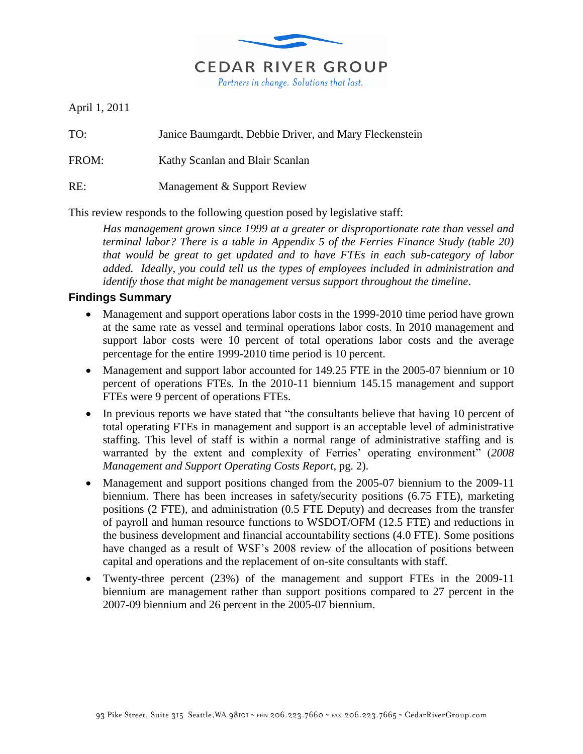

April 1, 2011

TO: Janice Baumgardt, Debbie Driver, and Mary Fleckenstein

FROM: Kathy Scanlan and Blair Scanlan

RE: Management & Support Review

This review responds to the following question posed by legislative staff:

*Has management grown since 1999 at a greater or disproportionate rate than vessel and terminal labor? There is a table in Appendix 5 of the Ferries Finance Study (table 20) that would be great to get updated and to have FTEs in each sub-category of labor added. Ideally, you could tell us the types of employees included in administration and identify those that might be management versus support throughout the timeline*.

#### **Findings Summary**

- Management and support operations labor costs in the 1999-2010 time period have grown at the same rate as vessel and terminal operations labor costs. In 2010 management and support labor costs were 10 percent of total operations labor costs and the average percentage for the entire 1999-2010 time period is 10 percent.
- Management and support labor accounted for 149.25 FTE in the 2005-07 biennium or 10 percent of operations FTEs. In the 2010-11 biennium 145.15 management and support FTEs were 9 percent of operations FTEs.
- In previous reports we have stated that "the consultants believe that having 10 percent of total operating FTEs in management and support is an acceptable level of administrative staffing. This level of staff is within a normal range of administrative staffing and is warranted by the extent and complexity of Ferries' operating environment" (*2008 Management and Support Operating Costs Report*, pg. 2).
- Management and support positions changed from the 2005-07 biennium to the 2009-11 biennium. There has been increases in safety/security positions (6.75 FTE), marketing positions (2 FTE), and administration (0.5 FTE Deputy) and decreases from the transfer of payroll and human resource functions to WSDOT/OFM (12.5 FTE) and reductions in the business development and financial accountability sections (4.0 FTE). Some positions have changed as a result of WSF's 2008 review of the allocation of positions between capital and operations and the replacement of on-site consultants with staff.
- Twenty-three percent (23%) of the management and support FTEs in the 2009-11 biennium are management rather than support positions compared to 27 percent in the 2007-09 biennium and 26 percent in the 2005-07 biennium.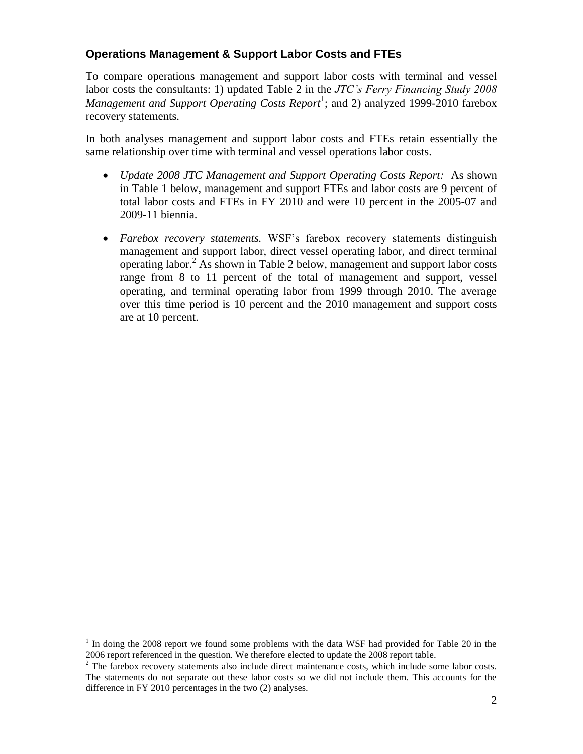## **Operations Management & Support Labor Costs and FTEs**

To compare operations management and support labor costs with terminal and vessel labor costs the consultants: 1) updated Table 2 in the *JTC's Ferry Financing Study 2008*  Management and Support Operating Costs Report<sup>1</sup>; and 2) analyzed 1999-2010 farebox recovery statements.

In both analyses management and support labor costs and FTEs retain essentially the same relationship over time with terminal and vessel operations labor costs.

- *Update 2008 JTC Management and Support Operating Costs Report:* As shown in Table 1 below, management and support FTEs and labor costs are 9 percent of total labor costs and FTEs in FY 2010 and were 10 percent in the 2005-07 and 2009-11 biennia.
- *Farebox recovery statements.* WSF's farebox recovery statements distinguish management and support labor, direct vessel operating labor, and direct terminal operating labor.<sup>2</sup> As shown in Table 2 below, management and support labor costs range from 8 to 11 percent of the total of management and support, vessel operating, and terminal operating labor from 1999 through 2010. The average over this time period is 10 percent and the 2010 management and support costs are at 10 percent.

 $\overline{a}$ 

<sup>1</sup> In doing the 2008 report we found some problems with the data WSF had provided for Table 20 in the 2006 report referenced in the question. We therefore elected to update the 2008 report table.

<sup>&</sup>lt;sup>2</sup> The farebox recovery statements also include direct maintenance costs, which include some labor costs. The statements do not separate out these labor costs so we did not include them. This accounts for the difference in FY 2010 percentages in the two (2) analyses.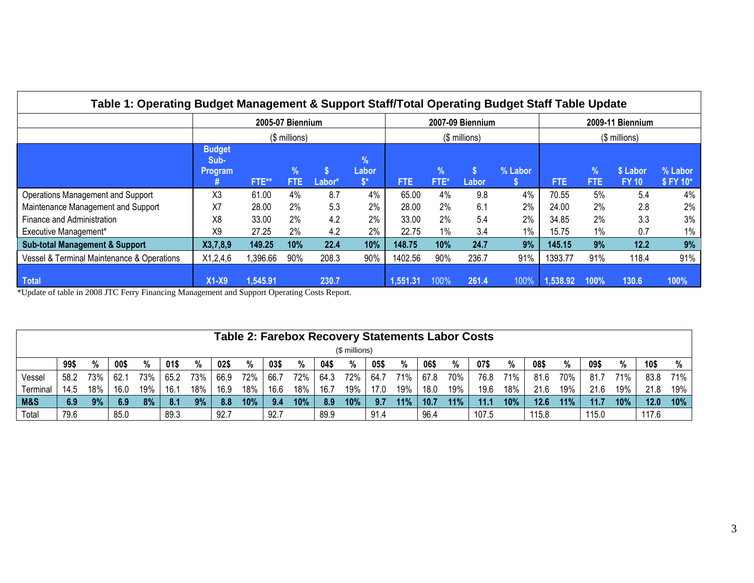| Table 1: Operating Budget Management & Support Staff/Total Operating Budget Staff Table Update |                                  |                  |           |        |                                                      |            |                       |                  |         |                  |                       |                          |                     |
|------------------------------------------------------------------------------------------------|----------------------------------|------------------|-----------|--------|------------------------------------------------------|------------|-----------------------|------------------|---------|------------------|-----------------------|--------------------------|---------------------|
|                                                                                                |                                  | 2005-07 Biennium |           |        |                                                      |            |                       | 2007-09 Biennium |         | 2009-11 Biennium |                       |                          |                     |
|                                                                                                | (\$ millions)                    |                  |           |        |                                                      |            |                       | (\$ millions)    |         | $($$ millions)   |                       |                          |                     |
|                                                                                                | <b>Budget</b><br>Sub-<br>Program | FTE**            | %<br>FTE. | Labor* | $\frac{9}{6}$<br>Labor<br>$\mathbf{\hat{s}}^{\star}$ | <b>FTE</b> | $\frac{9}{6}$<br>FTE* | S<br>Labor       | % Labor | <b>FTE</b>       | $\frac{9}{6}$<br>FTE. | \$ Labor<br><b>FY 10</b> | % Labor<br>\$FY 10* |
| Operations Management and Support                                                              | X3                               | 61.00            | 4%        | 8.7    | 4%                                                   | 65.00      | 4%                    | 9.8              | 4%      | 70.55            | 5%                    | 5.4                      | 4%                  |
| Maintenance Management and Support                                                             | X7                               | 28.00            | 2%        | 5.3    | 2%                                                   | 28.00      | 2%                    | 6.1              | 2%      | 24.00            | 2%                    | 2.8                      | 2%                  |
| Finance and Administration                                                                     | X8                               | 33.00            | 2%        | 4.2    | 2%                                                   | 33.00      | 2%                    | 5.4              | 2%      | 34.85            | 2%                    | 3.3                      | 3%                  |
| Executive Management*                                                                          | X9                               | 27.25            | 2%        | 4.2    | 2%                                                   | 22.75      | 1%                    | 3.4              | $1\%$   | 15.75            | 1%                    | 0.7                      | $1\%$               |
| <b>Sub-total Management &amp; Support</b>                                                      | X3,7,8,9                         | 149.25           | 10%       | 22.4   | 10%                                                  | 148.75     | 10%                   | 24.7             | 9%      | 145.15           | 9%                    | 12.2                     | 9%                  |
| Vessel & Terminal Maintenance & Operations                                                     | X1,2,4,6                         | 1,396.66         | 90%       | 208.3  | 90%                                                  | 1402.56    | 90%                   | 236.7            | 91%     | 1393.77          | 91%                   | 118.4                    | 91%                 |
| <b>Total</b>                                                                                   | $X1-X9$                          | 1,545.91         |           | 230.7  |                                                      | 1,551.31   | 100%                  | 261.4            | 100%    | 1,538.92         | $100\%$               | 130.6                    | 100%                |

\*Update of table in 2008 JTC Ferry Financing Management and Support Operating Costs Report.

|          | <b>Table 2: Farebox Recovery Statements Labor Costs</b> |     |      |     |      |     |      |     |      |     |      |     |      |     |      |     |       |     |       |     |       |     |       |            |
|----------|---------------------------------------------------------|-----|------|-----|------|-----|------|-----|------|-----|------|-----|------|-----|------|-----|-------|-----|-------|-----|-------|-----|-------|------------|
|          | (\$ millions)                                           |     |      |     |      |     |      |     |      |     |      |     |      |     |      |     |       |     |       |     |       |     |       |            |
|          | 99\$                                                    | %   | 00\$ | %   | 01\$ | %   | 02\$ | %   | 03\$ | %   | 04\$ | %   | 05\$ | %   | 06\$ | %   | 07\$  | %   | 08\$  | %   | 09\$  | %   | 10\$  | %          |
| Vessel   | 58.2                                                    | 73% | 62.7 | 73% | 65.2 | 73% | 66.9 | 72% | 66.7 | 72% | 64.3 | 72% | 64.7 | 71% | 67.8 | 70% | 76.8  | 71% | 81.6  | 70% | 81.7  | 71% | 83.8  | <b>71%</b> |
| Terminal | 14.5                                                    | 18% | 16.0 | 19% | 16.1 | 18% | 16.9 | 18% | 16.6 | 18% | 16.7 | 19% | 17.0 | 19% | 18.0 | 19% | 19.6  | 18% | 21.6  | 19% | 21.6  | 19% | 21.8  | 19%        |
| M&S      | 6.9                                                     | 9%  | 6.9  | 8%  | 8.1  | 9%  | 8.8  | 10% | -9.4 | 10% | 8.9  | 10% | 9.7  | 11% | 10.7 | 11% | 11.1  | 10% | 12.6  | 11% | 11.7  | 10% | 12.0  | 10%        |
| Total    | 79.6                                                    |     | 85.0 |     | 89.3 |     | 92.7 |     | 92.7 |     | 89.9 |     | 91.4 |     | 96.4 |     | 107.5 |     | 115.8 |     | 115.0 |     | 117.6 |            |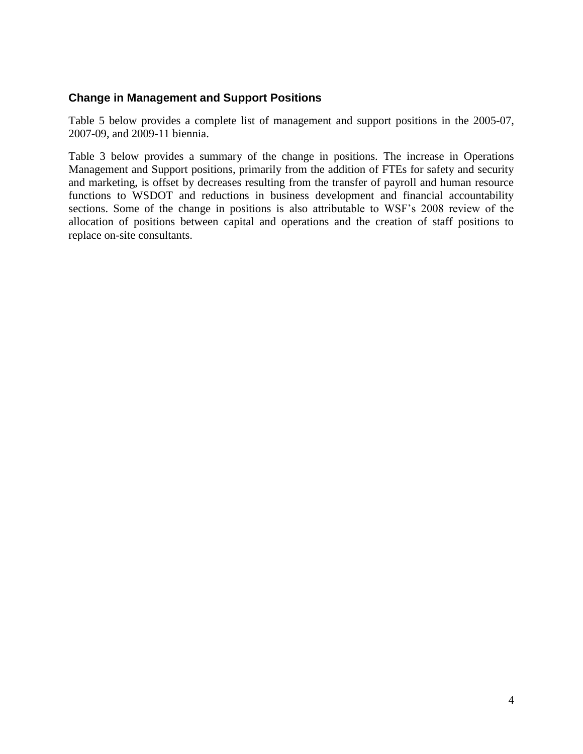### **Change in Management and Support Positions**

Table 5 below provides a complete list of management and support positions in the 2005-07, 2007-09, and 2009-11 biennia.

Table 3 below provides a summary of the change in positions. The increase in Operations Management and Support positions, primarily from the addition of FTEs for safety and security and marketing, is offset by decreases resulting from the transfer of payroll and human resource functions to WSDOT and reductions in business development and financial accountability sections. Some of the change in positions is also attributable to WSF's 2008 review of the allocation of positions between capital and operations and the creation of staff positions to replace on-site consultants.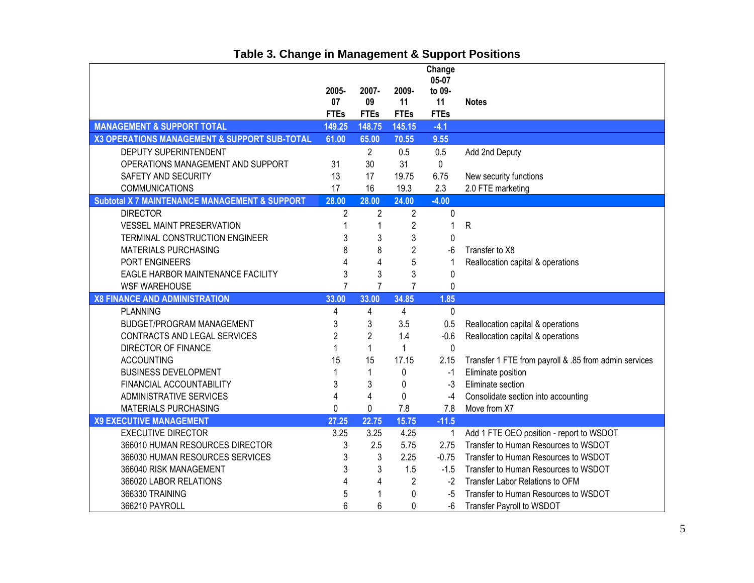|                                                          |                |                         |                | Change          |                                                       |
|----------------------------------------------------------|----------------|-------------------------|----------------|-----------------|-------------------------------------------------------|
|                                                          | 2005-          | 2007-                   | 2009-          | 05-07<br>to 09- |                                                       |
|                                                          | 07             | 09                      | 11             | 11              | <b>Notes</b>                                          |
|                                                          | <b>FTEs</b>    | <b>FTEs</b>             | <b>FTEs</b>    | <b>FTEs</b>     |                                                       |
| <b>MANAGEMENT &amp; SUPPORT TOTAL</b>                    | 149.25         | 148.75                  | 145.15         | $-4.1$          |                                                       |
| X3 OPERATIONS MANAGEMENT & SUPPORT SUB-TOTAL             | 61.00          | 65.00                   | 70.55          | 9.55            |                                                       |
| DEPUTY SUPERINTENDENT                                    |                | $\overline{2}$          | 0.5            | 0.5             | Add 2nd Deputy                                        |
| OPERATIONS MANAGEMENT AND SUPPORT                        | 31             | 30                      | 31             | $\mathbf 0$     |                                                       |
| SAFETY AND SECURITY                                      | 13             | 17                      | 19.75          | 6.75            | New security functions                                |
| COMMUNICATIONS                                           | 17             | 16                      | 19.3           | 2.3             | 2.0 FTE marketing                                     |
| <b>Subtotal X 7 MAINTENANCE MANAGEMENT &amp; SUPPORT</b> | 28.00          | 28.00                   | 24.00          | $-4.00$         |                                                       |
| <b>DIRECTOR</b>                                          | $\overline{2}$ | $\overline{c}$          | 2              | 0               |                                                       |
| <b>VESSEL MAINT PRESERVATION</b>                         | 1              | 1                       | $\overline{2}$ | $\mathbf{1}$    | $\mathsf{R}$                                          |
| TERMINAL CONSTRUCTION ENGINEER                           | 3              | 3                       | 3              | $\mathbf 0$     |                                                       |
| <b>MATERIALS PURCHASING</b>                              | 8              | 8                       | $\overline{2}$ | $-6$            | Transfer to X8                                        |
| PORT ENGINEERS                                           | 4              | $\overline{\mathbf{4}}$ | 5              |                 | Reallocation capital & operations                     |
| EAGLE HARBOR MAINTENANCE FACILITY                        | 3              | 3                       | 3              | 0               |                                                       |
| <b>WSF WAREHOUSE</b>                                     | 7              | $\overline{7}$          | $\overline{7}$ | 0               |                                                       |
| <b>X8 FINANCE AND ADMINISTRATION</b>                     | 33.00          | 33.00                   | 34.85          | 1.85            |                                                       |
| <b>PLANNING</b>                                          | 4              | 4                       | 4              | $\mathbf 0$     |                                                       |
| <b>BUDGET/PROGRAM MANAGEMENT</b>                         | 3              | 3                       | 3.5            | 0.5             | Reallocation capital & operations                     |
| CONTRACTS AND LEGAL SERVICES                             | $\overline{2}$ | $\overline{c}$          | 1.4            | $-0.6$          | Reallocation capital & operations                     |
| DIRECTOR OF FINANCE                                      |                | $\mathbf{1}$            | 1              | $\mathbf 0$     |                                                       |
| <b>ACCOUNTING</b>                                        | 15             | 15                      | 17.15          | 2.15            | Transfer 1 FTE from payroll & .85 from admin services |
| <b>BUSINESS DEVELOPMENT</b>                              | 1              | 1                       | 0              | $-1$            | Eliminate position                                    |
| FINANCIAL ACCOUNTABILITY                                 | 3              | 3                       | 0              | $-3$            | Eliminate section                                     |
| ADMINISTRATIVE SERVICES                                  | 4              | 4                       | 0              | $-4$            | Consolidate section into accounting                   |
| <b>MATERIALS PURCHASING</b>                              | 0              | 0                       | 7.8            | 7.8             | Move from X7                                          |
| <b>X9 EXECUTIVE MANAGEMENT</b>                           | 27.25          | 22.75                   | 15.75          | $-11.5$         |                                                       |
| <b>EXECUTIVE DIRECTOR</b>                                | 3.25           | 3.25                    | 4.25           | $\mathbf{1}$    | Add 1 FTE OEO position - report to WSDOT              |
| 366010 HUMAN RESOURCES DIRECTOR                          | 3              | 2.5                     | 5.75           | 2.75            | Transfer to Human Resources to WSDOT                  |
| 366030 HUMAN RESOURCES SERVICES                          | 3              | 3                       | 2.25           | $-0.75$         | Transfer to Human Resources to WSDOT                  |
| 366040 RISK MANAGEMENT                                   | 3              | 3                       | 1.5            | $-1.5$          | Transfer to Human Resources to WSDOT                  |
| 366020 LABOR RELATIONS                                   | 4              | $\overline{4}$          | $\overline{2}$ | $-2$            | Transfer Labor Relations to OFM                       |
| 366330 TRAINING                                          | 5              |                         | 0              | -5              | Transfer to Human Resources to WSDOT                  |
| 366210 PAYROLL                                           | 6              | 6                       | $\Omega$       | $-6$            | Transfer Payroll to WSDOT                             |

# **Table 3. Change in Management & Support Positions**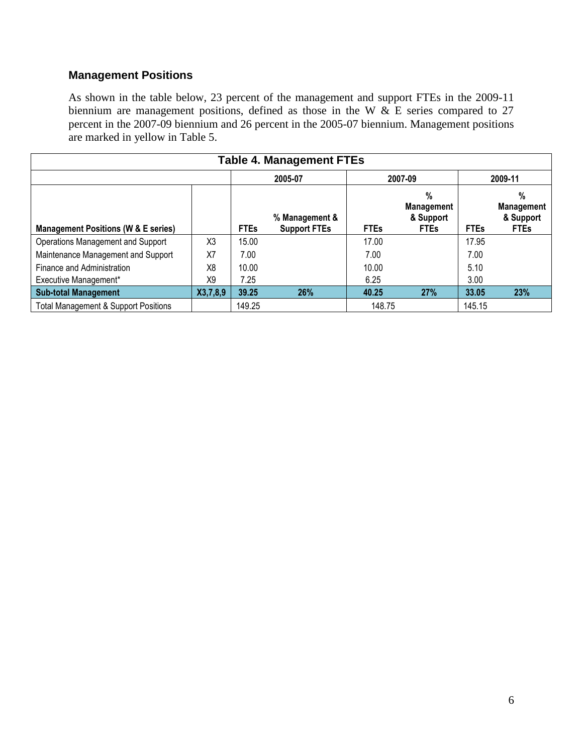## **Management Positions**

As shown in the table below, 23 percent of the management and support FTEs in the 2009-11 biennium are management positions, defined as those in the W  $\&$  E series compared to 27 percent in the 2007-09 biennium and 26 percent in the 2005-07 biennium. Management positions are marked in yellow in Table 5.

| Table 4. Management FTEs                        |                |             |                                       |             |                                                       |             |                                                    |  |  |  |
|-------------------------------------------------|----------------|-------------|---------------------------------------|-------------|-------------------------------------------------------|-------------|----------------------------------------------------|--|--|--|
|                                                 |                | 2005-07     |                                       | 2007-09     | 2009-11                                               |             |                                                    |  |  |  |
| <b>Management Positions (W &amp; E series)</b>  |                | <b>FTEs</b> | % Management &<br><b>Support FTEs</b> | <b>FTEs</b> | $\%$<br><b>Management</b><br>& Support<br><b>FTEs</b> | <b>FTEs</b> | %<br><b>Management</b><br>& Support<br><b>FTEs</b> |  |  |  |
| Operations Management and Support               | X <sub>3</sub> | 15.00       |                                       | 17.00       |                                                       | 17.95       |                                                    |  |  |  |
| Maintenance Management and Support              | X7             | 7.00        |                                       | 7.00        |                                                       | 7.00        |                                                    |  |  |  |
| Finance and Administration                      | X <sub>8</sub> | 10.00       |                                       | 10.00       |                                                       | 5.10        |                                                    |  |  |  |
| Executive Management*                           | X9             | 7.25        |                                       | 6.25        |                                                       | 3.00        |                                                    |  |  |  |
| <b>Sub-total Management</b>                     | X3,7,8,9       | 39.25       | 26%                                   | 40.25       | <b>27%</b>                                            | 33.05       | 23%                                                |  |  |  |
| <b>Total Management &amp; Support Positions</b> |                | 149.25      |                                       | 148.75      |                                                       | 145.15      |                                                    |  |  |  |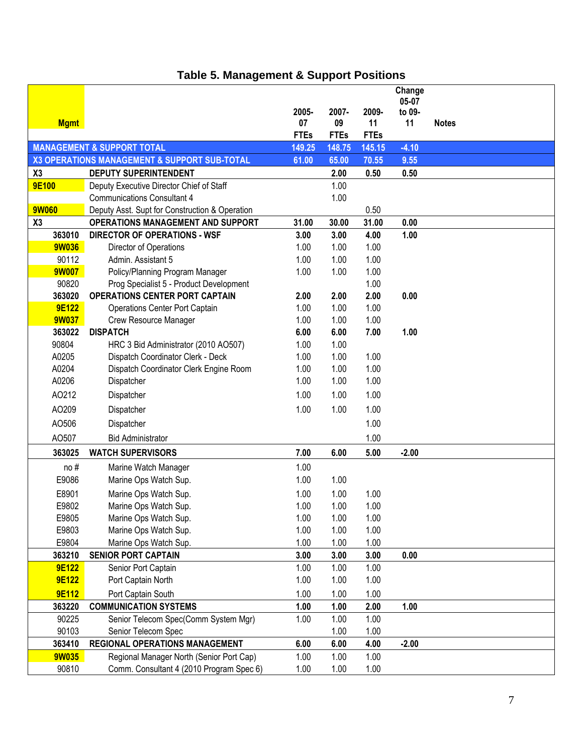|              |                                                |             |             |             | Change  |              |
|--------------|------------------------------------------------|-------------|-------------|-------------|---------|--------------|
|              |                                                |             |             |             | 05-07   |              |
|              |                                                | 2005-       | 2007-       | 2009-       | to 09-  |              |
| <b>Mgmt</b>  |                                                | 07          | 09          | 11          | 11      | <b>Notes</b> |
|              |                                                | <b>FTEs</b> | <b>FTEs</b> | <b>FTEs</b> |         |              |
|              | <b>MANAGEMENT &amp; SUPPORT TOTAL</b>          | 149.25      | 148.75      | 145.15      | $-4.10$ |              |
|              | X3 OPERATIONS MANAGEMENT & SUPPORT SUB-TOTAL   | 61.00       | 65.00       | 70.55       | 9.55    |              |
| X3           | <b>DEPUTY SUPERINTENDENT</b>                   |             | 2.00        | 0.50        | 0.50    |              |
| <b>9E100</b> |                                                |             | 1.00        |             |         |              |
|              | Deputy Executive Director Chief of Staff       |             |             |             |         |              |
|              | <b>Communications Consultant 4</b>             |             | 1.00        |             |         |              |
| <b>9W060</b> | Deputy Asst. Supt for Construction & Operation |             |             | 0.50        |         |              |
| X3           | <b>OPERATIONS MANAGEMENT AND SUPPORT</b>       | 31.00       | 30.00       | 31.00       | 0.00    |              |
| 363010       | <b>DIRECTOR OF OPERATIONS - WSF</b>            | 3.00        | 3.00        | 4.00        | 1.00    |              |
| <b>9W036</b> | Director of Operations                         | 1.00        | 1.00        | 1.00        |         |              |
| 90112        | Admin. Assistant 5                             | 1.00        | 1.00        | 1.00        |         |              |
| <b>9W007</b> | Policy/Planning Program Manager                | 1.00        | 1.00        | 1.00        |         |              |
| 90820        | Prog Specialist 5 - Product Development        |             |             | 1.00        |         |              |
| 363020       | <b>OPERATIONS CENTER PORT CAPTAIN</b>          | 2.00        | 2.00        | 2.00        | 0.00    |              |
| <b>9E122</b> | Operations Center Port Captain                 | 1.00        | 1.00        | 1.00        |         |              |
| <b>9W037</b> | Crew Resource Manager                          | 1.00        | 1.00        | 1.00        |         |              |
| 363022       | <b>DISPATCH</b>                                | 6.00        | 6.00        | 7.00        | 1.00    |              |
| 90804        | HRC 3 Bid Administrator (2010 AO507)           | 1.00        | 1.00        |             |         |              |
| A0205        | Dispatch Coordinator Clerk - Deck              | 1.00        | 1.00        | 1.00        |         |              |
| A0204        | Dispatch Coordinator Clerk Engine Room         | 1.00        | 1.00        | 1.00        |         |              |
| A0206        | Dispatcher                                     | 1.00        | 1.00        | 1.00        |         |              |
|              |                                                |             |             |             |         |              |
| AO212        | Dispatcher                                     | 1.00        | 1.00        | 1.00        |         |              |
| AO209        | Dispatcher                                     | 1.00        | 1.00        | 1.00        |         |              |
| AO506        | Dispatcher                                     |             |             | 1.00        |         |              |
| AO507        | <b>Bid Administrator</b>                       |             |             | 1.00        |         |              |
| 363025       | <b>WATCH SUPERVISORS</b>                       | 7.00        | 6.00        | 5.00        | $-2.00$ |              |
| no#          | Marine Watch Manager                           | 1.00        |             |             |         |              |
| E9086        | Marine Ops Watch Sup.                          | 1.00        | 1.00        |             |         |              |
|              |                                                |             |             |             |         |              |
| E8901        | Marine Ops Watch Sup.                          | 1.00        | 1.00        | 1.00        |         |              |
| E9802        | Marine Ops Watch Sup.                          | 1.00        | 1.00        | 1.00        |         |              |
| E9805        | Marine Ops Watch Sup.                          | 1.00        | 1.00        | 1.00        |         |              |
| E9803        | Marine Ops Watch Sup.                          | 1.00        | 1.00        | 1.00        |         |              |
| E9804        | Marine Ops Watch Sup.                          | 1.00        | 1.00        | 1.00        |         |              |
| 363210       | <b>SENIOR PORT CAPTAIN</b>                     | 3.00        | 3.00        | 3.00        | 0.00    |              |
| <b>9E122</b> | Senior Port Captain                            | 1.00        | 1.00        | 1.00        |         |              |
| <b>9E122</b> | Port Captain North                             | 1.00        | 1.00        | 1.00        |         |              |
| <b>9E112</b> | Port Captain South                             | 1.00        | 1.00        | 1.00        |         |              |
| 363220       | <b>COMMUNICATION SYSTEMS</b>                   | 1.00        | 1.00        | 2.00        | 1.00    |              |
| 90225        | Senior Telecom Spec(Comm System Mgr)           | 1.00        | 1.00        | 1.00        |         |              |
| 90103        | Senior Telecom Spec                            |             | 1.00        | 1.00        |         |              |
| 363410       | <b>REGIONAL OPERATIONS MANAGEMENT</b>          | 6.00        | 6.00        | 4.00        | $-2.00$ |              |
| <b>9W035</b> | Regional Manager North (Senior Port Cap)       | 1.00        | 1.00        | 1.00        |         |              |
| 90810        | Comm. Consultant 4 (2010 Program Spec 6)       | 1.00        | 1.00        | 1.00        |         |              |
|              |                                                |             |             |             |         |              |

# **Table 5. Management & Support Positions**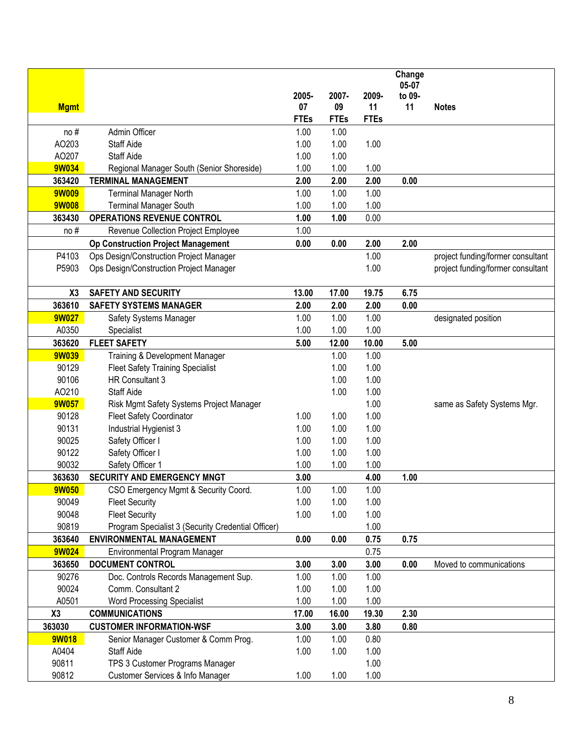|                        |                                                                           |              |              |              | Change |                                   |
|------------------------|---------------------------------------------------------------------------|--------------|--------------|--------------|--------|-----------------------------------|
|                        |                                                                           |              |              |              | 05-07  |                                   |
|                        |                                                                           | 2005-        | 2007-        | 2009-        | to 09- |                                   |
| <b>Mgmt</b>            |                                                                           | 07           | 09           | 11           | 11     | <b>Notes</b>                      |
|                        |                                                                           | <b>FTEs</b>  | <b>FTEs</b>  | <b>FTEs</b>  |        |                                   |
| no#                    | Admin Officer                                                             | 1.00         | 1.00         |              |        |                                   |
| AO203                  | <b>Staff Aide</b>                                                         | 1.00         | 1.00         | 1.00         |        |                                   |
| AO207<br><b>9W034</b>  | <b>Staff Aide</b>                                                         | 1.00         | 1.00         |              |        |                                   |
|                        | Regional Manager South (Senior Shoreside)<br><b>TERMINAL MANAGEMENT</b>   | 1.00         | 1.00         | 1.00<br>2.00 |        |                                   |
| 363420<br><b>9W009</b> |                                                                           | 2.00<br>1.00 | 2.00<br>1.00 | 1.00         | 0.00   |                                   |
| <b>9W008</b>           | <b>Terminal Manager North</b>                                             | 1.00         |              | 1.00         |        |                                   |
| 363430                 | <b>Terminal Manager South</b><br><b>OPERATIONS REVENUE CONTROL</b>        | 1.00         | 1.00<br>1.00 | 0.00         |        |                                   |
| no#                    |                                                                           | 1.00         |              |              |        |                                   |
|                        | Revenue Collection Project Employee                                       |              |              |              |        |                                   |
|                        | <b>Op Construction Project Management</b>                                 | 0.00         | 0.00         | 2.00         | 2.00   |                                   |
| P4103                  | Ops Design/Construction Project Manager                                   |              |              | 1.00         |        | project funding/former consultant |
| P5903                  | Ops Design/Construction Project Manager                                   |              |              | 1.00         |        | project funding/former consultant |
|                        | <b>SAFETY AND SECURITY</b>                                                |              |              |              |        |                                   |
| X3                     | <b>SAFETY SYSTEMS MANAGER</b>                                             | 13.00        | 17.00        | 19.75        | 6.75   |                                   |
| 363610<br><b>9W027</b> | Safety Systems Manager                                                    | 2.00<br>1.00 | 2.00<br>1.00 | 2.00<br>1.00 | 0.00   |                                   |
| A0350                  | Specialist                                                                | 1.00         | 1.00         | 1.00         |        | designated position               |
| 363620                 | <b>FLEET SAFETY</b>                                                       | 5.00         | 12.00        | 10.00        | 5.00   |                                   |
| <b>9W039</b>           |                                                                           |              | 1.00         | 1.00         |        |                                   |
| 90129                  | Training & Development Manager<br><b>Fleet Safety Training Specialist</b> |              | 1.00         | 1.00         |        |                                   |
| 90106                  | HR Consultant 3                                                           |              | 1.00         | 1.00         |        |                                   |
| AO210                  | <b>Staff Aide</b>                                                         |              | 1.00         | 1.00         |        |                                   |
| <b>9W057</b>           | Risk Mgmt Safety Systems Project Manager                                  |              |              | 1.00         |        | same as Safety Systems Mgr.       |
| 90128                  | Fleet Safety Coordinator                                                  | 1.00         | 1.00         | 1.00         |        |                                   |
| 90131                  | Industrial Hygienist 3                                                    | 1.00         | 1.00         | 1.00         |        |                                   |
| 90025                  | Safety Officer I                                                          | 1.00         | 1.00         | 1.00         |        |                                   |
| 90122                  | Safety Officer I                                                          | 1.00         | 1.00         | 1.00         |        |                                   |
| 90032                  | Safety Officer 1                                                          | 1.00         | 1.00         | 1.00         |        |                                   |
| 363630                 | <b>SECURITY AND EMERGENCY MNGT</b>                                        | 3.00         |              | 4.00         | 1.00   |                                   |
| <b>9W050</b>           | CSO Emergency Mgmt & Security Coord.                                      | 1.00         | 1.00         | 1.00         |        |                                   |
| 90049                  | <b>Fleet Security</b>                                                     | 1.00         | 1.00         | 1.00         |        |                                   |
| 90048                  | <b>Fleet Security</b>                                                     | 1.00         | 1.00         | 1.00         |        |                                   |
| 90819                  | Program Specialist 3 (Security Credential Officer)                        |              |              | 1.00         |        |                                   |
| 363640                 | <b>ENVIRONMENTAL MANAGEMENT</b>                                           | 0.00         | 0.00         | 0.75         | 0.75   |                                   |
| <b>9W024</b>           | Environmental Program Manager                                             |              |              | 0.75         |        |                                   |
| 363650                 | <b>DOCUMENT CONTROL</b>                                                   | 3.00         | 3.00         | 3.00         | 0.00   | Moved to communications           |
| 90276                  | Doc. Controls Records Management Sup.                                     | 1.00         | 1.00         | 1.00         |        |                                   |
| 90024                  | Comm. Consultant 2                                                        | 1.00         | 1.00         | 1.00         |        |                                   |
| A0501                  | <b>Word Processing Specialist</b>                                         | 1.00         | 1.00         | 1.00         |        |                                   |
| X3                     | <b>COMMUNICATIONS</b>                                                     | 17.00        | 16.00        | 19.30        | 2.30   |                                   |
| 363030                 | <b>CUSTOMER INFORMATION-WSF</b>                                           | 3.00         | 3.00         | 3.80         | 0.80   |                                   |
| <b>9W018</b>           | Senior Manager Customer & Comm Prog.                                      | 1.00         | 1.00         | 0.80         |        |                                   |
| A0404                  | Staff Aide                                                                | 1.00         | 1.00         | 1.00         |        |                                   |
| 90811                  | TPS 3 Customer Programs Manager                                           |              |              | 1.00         |        |                                   |
| 90812                  | Customer Services & Info Manager                                          | 1.00         | 1.00         | 1.00         |        |                                   |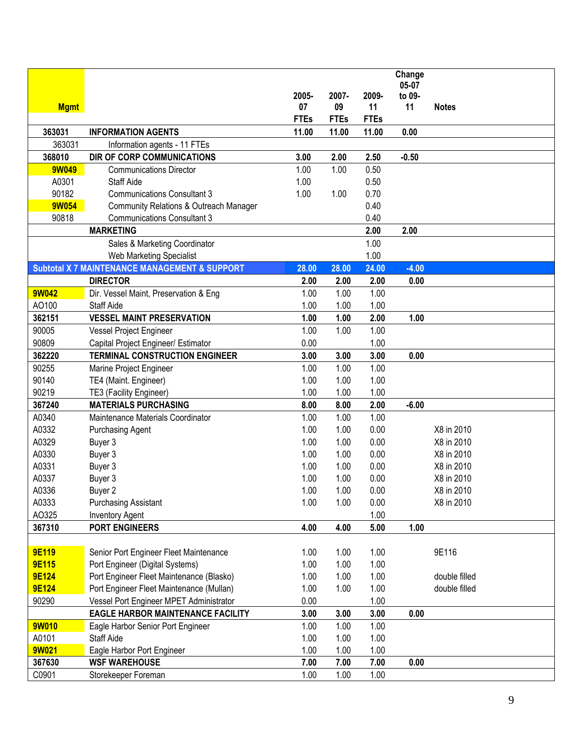|              |                                                          |             |             |             | Change  |               |
|--------------|----------------------------------------------------------|-------------|-------------|-------------|---------|---------------|
|              |                                                          |             |             |             | 05-07   |               |
|              |                                                          | 2005-       | 2007-       | 2009-       | to 09-  |               |
| <b>Mgmt</b>  |                                                          | 07          | 09          | 11          | 11      | <b>Notes</b>  |
|              |                                                          | <b>FTEs</b> | <b>FTEs</b> | <b>FTEs</b> |         |               |
| 363031       | <b>INFORMATION AGENTS</b>                                | 11.00       | 11.00       | 11.00       | 0.00    |               |
| 363031       | Information agents - 11 FTEs                             |             |             |             |         |               |
| 368010       | DIR OF CORP COMMUNICATIONS                               | 3.00        | 2.00        | 2.50        | $-0.50$ |               |
| 9W049        | <b>Communications Director</b>                           | 1.00        | 1.00        | 0.50        |         |               |
| A0301        | <b>Staff Aide</b>                                        | 1.00        |             | 0.50        |         |               |
| 90182        | <b>Communications Consultant 3</b>                       | 1.00        | 1.00        | 0.70        |         |               |
| 9W054        | <b>Community Relations &amp; Outreach Manager</b>        |             |             | 0.40        |         |               |
| 90818        | <b>Communications Consultant 3</b>                       |             |             | 0.40        |         |               |
|              | <b>MARKETING</b>                                         |             |             | 2.00        | 2.00    |               |
|              | Sales & Marketing Coordinator                            |             |             | 1.00        |         |               |
|              | Web Marketing Specialist                                 |             |             | 1.00        |         |               |
|              | <b>Subtotal X 7 MAINTENANCE MANAGEMENT &amp; SUPPORT</b> | 28.00       | 28.00       | 24.00       | $-4.00$ |               |
|              | <b>DIRECTOR</b>                                          | 2.00        | 2.00        | 2.00        | 0.00    |               |
| <b>9W042</b> | Dir. Vessel Maint, Preservation & Eng                    | 1.00        | 1.00        | 1.00        |         |               |
| AO100        | <b>Staff Aide</b>                                        | 1.00        | 1.00        | 1.00        |         |               |
| 362151       | <b>VESSEL MAINT PRESERVATION</b>                         | 1.00        | 1.00        | 2.00        | 1.00    |               |
| 90005        | Vessel Project Engineer                                  | 1.00        | 1.00        | 1.00        |         |               |
| 90809        | Capital Project Engineer/ Estimator                      | 0.00        |             | 1.00        |         |               |
| 362220       | <b>TERMINAL CONSTRUCTION ENGINEER</b>                    | 3.00        | 3.00        | 3.00        | 0.00    |               |
| 90255        | Marine Project Engineer                                  | 1.00        | 1.00        | 1.00        |         |               |
| 90140        | TE4 (Maint. Engineer)                                    | 1.00        | 1.00        | 1.00        |         |               |
| 90219        | TE3 (Facility Engineer)                                  | 1.00        | 1.00        | 1.00        |         |               |
| 367240       | <b>MATERIALS PURCHASING</b>                              | 8.00        | 8.00        | 2.00        | $-6.00$ |               |
| A0340        | Maintenance Materials Coordinator                        | 1.00        | 1.00        | 1.00        |         |               |
| A0332        | <b>Purchasing Agent</b>                                  | 1.00        | 1.00        | 0.00        |         | X8 in 2010    |
| A0329        | Buyer 3                                                  | 1.00        | 1.00        | 0.00        |         | X8 in 2010    |
| A0330        | Buyer 3                                                  | 1.00        | 1.00        | 0.00        |         | X8 in 2010    |
| A0331        | Buyer 3                                                  | 1.00        | 1.00        | 0.00        |         | X8 in 2010    |
| A0337        | Buyer 3                                                  | 1.00        | 1.00        | 0.00        |         | X8 in 2010    |
| A0336        | Buyer 2                                                  | 1.00        | 1.00        | 0.00        |         | X8 in 2010    |
| A0333        | <b>Purchasing Assistant</b>                              | 1.00        | 1.00        | 0.00        |         | X8 in 2010    |
| AO325        | <b>Inventory Agent</b>                                   |             |             | 1.00        |         |               |
| 367310       | <b>PORT ENGINEERS</b>                                    | 4.00        | 4.00        | 5.00        | 1.00    |               |
|              |                                                          |             |             |             |         |               |
| <b>9E119</b> | Senior Port Engineer Fleet Maintenance                   | 1.00        | 1.00        | 1.00        |         | 9E116         |
| <b>9E115</b> | Port Engineer (Digital Systems)                          | 1.00        | 1.00        | 1.00        |         |               |
| <b>9E124</b> | Port Engineer Fleet Maintenance (Blasko)                 | 1.00        | 1.00        | 1.00        |         | double filled |
| <b>9E124</b> | Port Engineer Fleet Maintenance (Mullan)                 | 1.00        | 1.00        | 1.00        |         | double filled |
| 90290        | Vessel Port Engineer MPET Administrator                  | 0.00        |             | 1.00        |         |               |
|              | <b>EAGLE HARBOR MAINTENANCE FACILITY</b>                 | 3.00        | 3.00        | 3.00        | 0.00    |               |
| 9W010        | Eagle Harbor Senior Port Engineer                        | 1.00        | 1.00        | 1.00        |         |               |
| A0101        | Staff Aide                                               | 1.00        | 1.00        | 1.00        |         |               |
| <b>9W021</b> | Eagle Harbor Port Engineer                               | 1.00        | 1.00        | 1.00        |         |               |
| 367630       | <b>WSF WAREHOUSE</b>                                     | 7.00        | 7.00        | 7.00        | 0.00    |               |
| C0901        | Storekeeper Foreman                                      | 1.00        | 1.00        | 1.00        |         |               |
|              |                                                          |             |             |             |         |               |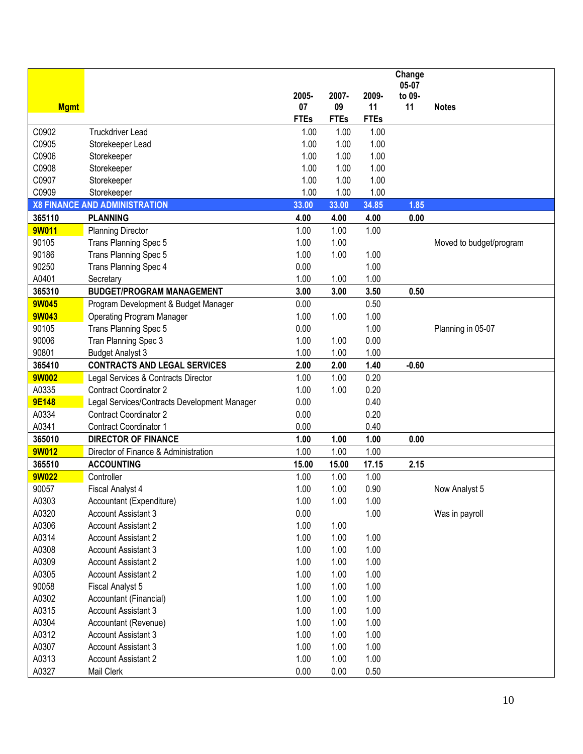|              |                                              |             |             |             | Change  |                         |
|--------------|----------------------------------------------|-------------|-------------|-------------|---------|-------------------------|
|              |                                              |             |             |             | 05-07   |                         |
|              |                                              | 2005-       | 2007-       | 2009-       | to 09-  |                         |
| <b>Mgmt</b>  |                                              | 07          | 09          | 11          | 11      | <b>Notes</b>            |
|              |                                              | <b>FTEs</b> | <b>FTEs</b> | <b>FTEs</b> |         |                         |
| C0902        | <b>Truckdriver Lead</b>                      | 1.00        | 1.00        | 1.00        |         |                         |
| C0905        | Storekeeper Lead                             | 1.00        | 1.00        | 1.00        |         |                         |
| C0906        | Storekeeper                                  | 1.00        | 1.00        | 1.00        |         |                         |
| C0908        | Storekeeper                                  | 1.00        | 1.00        | 1.00        |         |                         |
| C0907        | Storekeeper                                  | 1.00        | 1.00        | 1.00        |         |                         |
| C0909        | Storekeeper                                  | 1.00        | 1.00        | 1.00        |         |                         |
|              | <b>X8 FINANCE AND ADMINISTRATION</b>         | 33.00       | 33.00       | 34.85       | 1.85    |                         |
| 365110       | <b>PLANNING</b>                              | 4.00        | 4.00        | 4.00        | 0.00    |                         |
| 9W011        | <b>Planning Director</b>                     | 1.00        | 1.00        | 1.00        |         |                         |
| 90105        | Trans Planning Spec 5                        | 1.00        | 1.00        |             |         | Moved to budget/program |
| 90186        | Trans Planning Spec 5                        | 1.00        | 1.00        | 1.00        |         |                         |
| 90250        | Trans Planning Spec 4                        | 0.00        |             | 1.00        |         |                         |
| A0401        | Secretary                                    | 1.00        | 1.00        | 1.00        |         |                         |
| 365310       | <b>BUDGET/PROGRAM MANAGEMENT</b>             | 3.00        | 3.00        | 3.50        | 0.50    |                         |
| <b>9W045</b> | Program Development & Budget Manager         | 0.00        |             | 0.50        |         |                         |
| <b>9W043</b> | <b>Operating Program Manager</b>             | 1.00        | 1.00        | 1.00        |         |                         |
| 90105        | Trans Planning Spec 5                        | 0.00        |             | 1.00        |         | Planning in 05-07       |
| 90006        | Tran Planning Spec 3                         | 1.00        | 1.00        | 0.00        |         |                         |
| 90801        | <b>Budget Analyst 3</b>                      | 1.00        | 1.00        | 1.00        |         |                         |
| 365410       | <b>CONTRACTS AND LEGAL SERVICES</b>          | 2.00        | 2.00        | 1.40        | $-0.60$ |                         |
| <b>9W002</b> | Legal Services & Contracts Director          | 1.00        | 1.00        | 0.20        |         |                         |
| A0335        | <b>Contract Coordinator 2</b>                | 1.00        | 1.00        | 0.20        |         |                         |
| <b>9E148</b> | Legal Services/Contracts Development Manager | 0.00        |             | 0.40        |         |                         |
| A0334        | <b>Contract Coordinator 2</b>                | 0.00        |             | 0.20        |         |                         |
| A0341        | <b>Contract Coordinator 1</b>                | 0.00        |             | 0.40        |         |                         |
| 365010       | <b>DIRECTOR OF FINANCE</b>                   | 1.00        | 1.00        | 1.00        | 0.00    |                         |
| 9W012        | Director of Finance & Administration         | 1.00        | 1.00        | 1.00        |         |                         |
| 365510       | <b>ACCOUNTING</b>                            | 15.00       | 15.00       | 17.15       | 2.15    |                         |
| <b>9W022</b> | Controller                                   | 1.00        | 1.00        | 1.00        |         |                         |
| 90057        | <b>Fiscal Analyst 4</b>                      | 1.00        | 1.00        | 0.90        |         |                         |
| A0303        | Accountant (Expenditure)                     | 1.00        | 1.00        | 1.00        |         | Now Analyst 5           |
|              | <b>Account Assistant 3</b>                   | 0.00        |             | 1.00        |         | Was in payroll          |
| A0320        | <b>Account Assistant 2</b>                   | 1.00        | 1.00        |             |         |                         |
| A0306        |                                              |             |             |             |         |                         |
| A0314        | <b>Account Assistant 2</b>                   | 1.00        | 1.00        | 1.00        |         |                         |
| A0308        | <b>Account Assistant 3</b>                   | 1.00        | 1.00        | 1.00        |         |                         |
| A0309        | <b>Account Assistant 2</b>                   | 1.00        | 1.00        | 1.00        |         |                         |
| A0305        | <b>Account Assistant 2</b>                   | 1.00        | 1.00        | 1.00        |         |                         |
| 90058        | <b>Fiscal Analyst 5</b>                      | 1.00        | 1.00        | 1.00        |         |                         |
| A0302        | Accountant (Financial)                       | 1.00        | 1.00        | 1.00        |         |                         |
| A0315        | Account Assistant 3                          | 1.00        | 1.00        | 1.00        |         |                         |
| A0304        | Accountant (Revenue)                         | 1.00        | 1.00        | 1.00        |         |                         |
| A0312        | Account Assistant 3                          | 1.00        | 1.00        | 1.00        |         |                         |
| A0307        | Account Assistant 3                          | 1.00        | 1.00        | 1.00        |         |                         |
| A0313        | <b>Account Assistant 2</b>                   | 1.00        | 1.00        | 1.00        |         |                         |
| A0327        | Mail Clerk                                   | 0.00        | 0.00        | 0.50        |         |                         |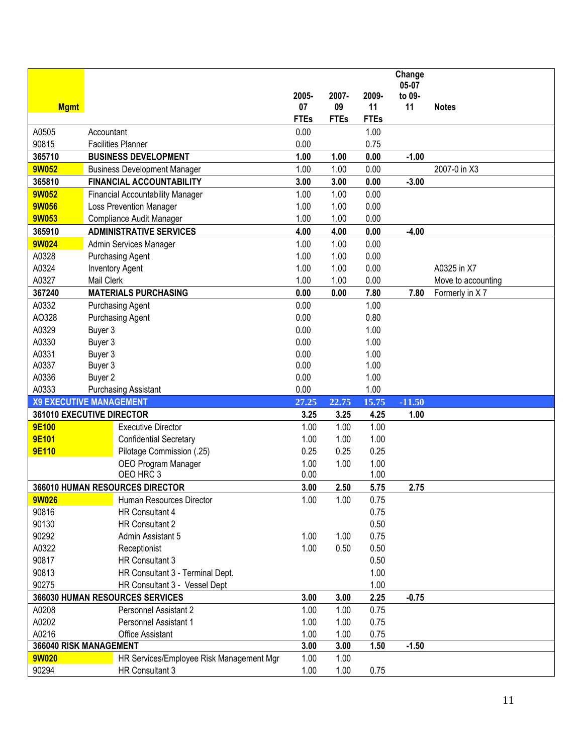|              |                                          |             |             |             | Change   |                    |
|--------------|------------------------------------------|-------------|-------------|-------------|----------|--------------------|
|              |                                          |             |             |             | 05-07    |                    |
|              |                                          | 2005-       | 2007-       | 2009-       | to 09-   |                    |
| <b>Mgmt</b>  |                                          | 07          | 09          | 11          | 11       | <b>Notes</b>       |
|              |                                          | <b>FTEs</b> | <b>FTEs</b> | <b>FTEs</b> |          |                    |
| A0505        | Accountant                               | 0.00        |             | 1.00        |          |                    |
| 90815        | <b>Facilities Planner</b>                | 0.00        |             | 0.75        |          |                    |
| 365710       | <b>BUSINESS DEVELOPMENT</b>              | 1.00        | 1.00        | 0.00        | $-1.00$  |                    |
| <b>9W052</b> | <b>Business Development Manager</b>      | 1.00        | 1.00        | 0.00        |          | 2007-0 in X3       |
| 365810       | <b>FINANCIAL ACCOUNTABILITY</b>          | 3.00        | 3.00        | 0.00        | $-3.00$  |                    |
| <b>9W052</b> | <b>Financial Accountability Manager</b>  | 1.00        | 1.00        | 0.00        |          |                    |
| <b>9W056</b> | Loss Prevention Manager                  | 1.00        | 1.00        | 0.00        |          |                    |
| <b>9W053</b> | Compliance Audit Manager                 | 1.00        | 1.00        | 0.00        |          |                    |
| 365910       | <b>ADMINISTRATIVE SERVICES</b>           | 4.00        | 4.00        | 0.00        | $-4.00$  |                    |
| <b>9W024</b> | Admin Services Manager                   | 1.00        | 1.00        | 0.00        |          |                    |
| A0328        | <b>Purchasing Agent</b>                  | 1.00        | 1.00        | 0.00        |          |                    |
| A0324        | <b>Inventory Agent</b>                   | 1.00        | 1.00        | 0.00        |          | A0325 in X7        |
| A0327        | Mail Clerk                               | 1.00        | 1.00        | 0.00        |          | Move to accounting |
| 367240       | <b>MATERIALS PURCHASING</b>              | 0.00        | 0.00        | 7.80        | 7.80     | Formerly in X7     |
| A0332        | <b>Purchasing Agent</b>                  | 0.00        |             | 1.00        |          |                    |
| AO328        | <b>Purchasing Agent</b>                  | 0.00        |             | 0.80        |          |                    |
| A0329        | Buyer 3                                  | 0.00        |             | 1.00        |          |                    |
| A0330        | Buyer 3                                  | 0.00        |             | 1.00        |          |                    |
| A0331        | Buyer 3                                  | 0.00        |             | 1.00        |          |                    |
| A0337        | Buyer 3                                  | 0.00        |             | 1.00        |          |                    |
| A0336        | Buyer 2                                  | 0.00        |             | 1.00        |          |                    |
| A0333        | <b>Purchasing Assistant</b>              | 0.00        |             | 1.00        |          |                    |
|              | <b>X9 EXECUTIVE MANAGEMENT</b>           | 27.25       | 22.75       | 15.75       | $-11.50$ |                    |
|              | 361010 EXECUTIVE DIRECTOR                | 3.25        | 3.25        | 4.25        | 1.00     |                    |
| 9E100        | <b>Executive Director</b>                | 1.00        | 1.00        | 1.00        |          |                    |
| <b>9E101</b> | <b>Confidential Secretary</b>            | 1.00        | 1.00        | 1.00        |          |                    |
| <b>9E110</b> | Pilotage Commission (.25)                | 0.25        | 0.25        | 0.25        |          |                    |
|              | OEO Program Manager                      | 1.00        | 1.00        | 1.00        |          |                    |
|              | OEO HRC 3                                | 0.00        |             | 1.00        |          |                    |
|              | 366010 HUMAN RESOURCES DIRECTOR          | 3.00        | 2.50        | 5.75        | 2.75     |                    |
| <b>9W026</b> | Human Resources Director                 | 1.00        | 1.00        | 0.75        |          |                    |
| 90816        | HR Consultant 4                          |             |             | 0.75        |          |                    |
| 90130        | HR Consultant 2                          |             |             | 0.50        |          |                    |
| 90292        | Admin Assistant 5                        | 1.00        | 1.00        | 0.75        |          |                    |
| A0322        | Receptionist                             | 1.00        | 0.50        | 0.50        |          |                    |
| 90817        | HR Consultant 3                          |             |             | 0.50        |          |                    |
| 90813        | HR Consultant 3 - Terminal Dept.         |             |             | 1.00        |          |                    |
| 90275        | HR Consultant 3 - Vessel Dept            |             |             | 1.00        |          |                    |
|              | 366030 HUMAN RESOURCES SERVICES          | 3.00        | 3.00        | 2.25        | $-0.75$  |                    |
| A0208        | Personnel Assistant 2                    | 1.00        | 1.00        | 0.75        |          |                    |
| A0202        | Personnel Assistant 1                    | 1.00        | 1.00        | 0.75        |          |                    |
| A0216        | <b>Office Assistant</b>                  | 1.00        | 1.00        | 0.75        |          |                    |
|              | 366040 RISK MANAGEMENT                   | 3.00        | 3.00        | 1.50        | $-1.50$  |                    |
| <b>9W020</b> | HR Services/Employee Risk Management Mgr | 1.00        | 1.00        |             |          |                    |
| 90294        | HR Consultant 3                          | 1.00        | 1.00        | 0.75        |          |                    |